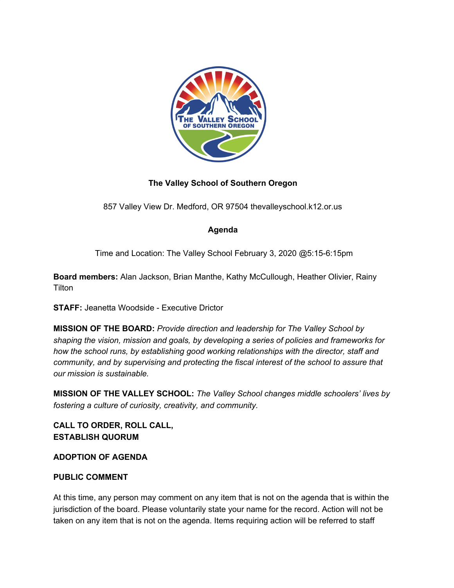

## **The Valley School of Southern Oregon**

857 Valley View Dr. Medford, OR 97504 thevalleyschool.k12.or.us

## **Agenda**

Time and Location: The Valley School February 3, 2020 @5:15-6:15pm

**Board members:** Alan Jackson, Brian Manthe, Kathy McCullough, Heather Olivier, Rainy **Tilton** 

**STAFF:** Jeanetta Woodside - Executive Drictor

**MISSION OF THE BOARD:** *Provide direction and leadership for The Valley School by shaping the vision, mission and goals, by developing a series of policies and frameworks for how the school runs, by establishing good working relationships with the director, staff and community, and by supervising and protecting the fiscal interest of the school to assure that our mission is sustainable.*

**MISSION OF THE VALLEY SCHOOL:** *The Valley School changes middle schoolers' lives by fostering a culture of curiosity, creativity, and community.*

**CALL TO ORDER, ROLL CALL, ESTABLISH QUORUM**

**ADOPTION OF AGENDA**

## **PUBLIC COMMENT**

At this time, any person may comment on any item that is not on the agenda that is within the jurisdiction of the board. Please voluntarily state your name for the record. Action will not be taken on any item that is not on the agenda. Items requiring action will be referred to staff